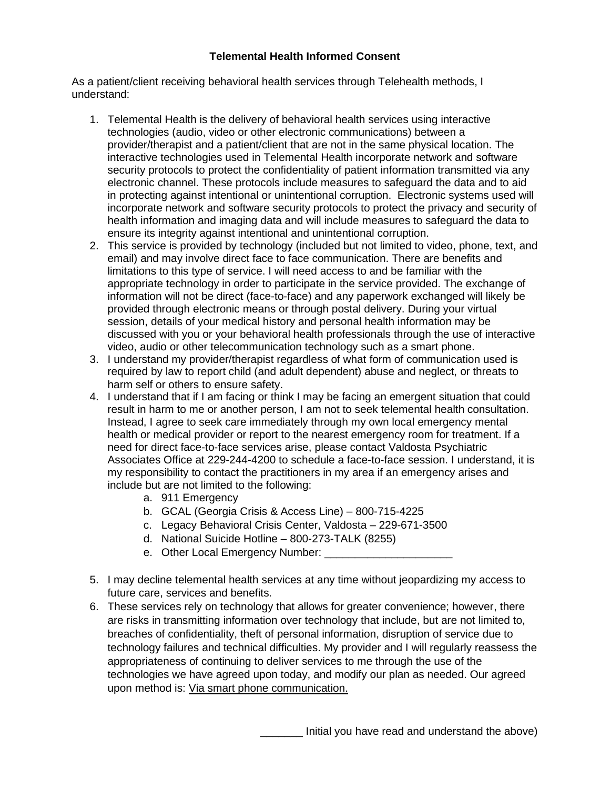## **Telemental Health Informed Consent**

As a patient/client receiving behavioral health services through Telehealth methods, I understand:

- 1. Telemental Health is the delivery of behavioral health services using interactive technologies (audio, video or other electronic communications) between a provider/therapist and a patient/client that are not in the same physical location. The interactive technologies used in Telemental Health incorporate network and software security protocols to protect the confidentiality of patient information transmitted via any electronic channel. These protocols include measures to safeguard the data and to aid in protecting against intentional or unintentional corruption. Electronic systems used will incorporate network and software security protocols to protect the privacy and security of health information and imaging data and will include measures to safeguard the data to ensure its integrity against intentional and unintentional corruption.
- 2. This service is provided by technology (included but not limited to video, phone, text, and email) and may involve direct face to face communication. There are benefits and limitations to this type of service. I will need access to and be familiar with the appropriate technology in order to participate in the service provided. The exchange of information will not be direct (face-to-face) and any paperwork exchanged will likely be provided through electronic means or through postal delivery. During your virtual session, details of your medical history and personal health information may be discussed with you or your behavioral health professionals through the use of interactive video, audio or other telecommunication technology such as a smart phone.
- 3. I understand my provider/therapist regardless of what form of communication used is required by law to report child (and adult dependent) abuse and neglect, or threats to harm self or others to ensure safety.
- 4. I understand that if I am facing or think I may be facing an emergent situation that could result in harm to me or another person, I am not to seek telemental health consultation. Instead, I agree to seek care immediately through my own local emergency mental health or medical provider or report to the nearest emergency room for treatment. If a need for direct face-to-face services arise, please contact Valdosta Psychiatric Associates Office at 229-244-4200 to schedule a face-to-face session. I understand, it is my responsibility to contact the practitioners in my area if an emergency arises and include but are not limited to the following:
	- a. 911 Emergency
	- b. GCAL (Georgia Crisis & Access Line) 800-715-4225
	- c. Legacy Behavioral Crisis Center, Valdosta 229-671-3500
	- d. National Suicide Hotline 800-273-TALK (8255)
	- e. Other Local Emergency Number:
- 5. I may decline telemental health services at any time without jeopardizing my access to future care, services and benefits.
- 6. These services rely on technology that allows for greater convenience; however, there are risks in transmitting information over technology that include, but are not limited to, breaches of confidentiality, theft of personal information, disruption of service due to technology failures and technical difficulties. My provider and I will regularly reassess the appropriateness of continuing to deliver services to me through the use of the technologies we have agreed upon today, and modify our plan as needed. Our agreed upon method is: Via smart phone communication.

Initial you have read and understand the above)